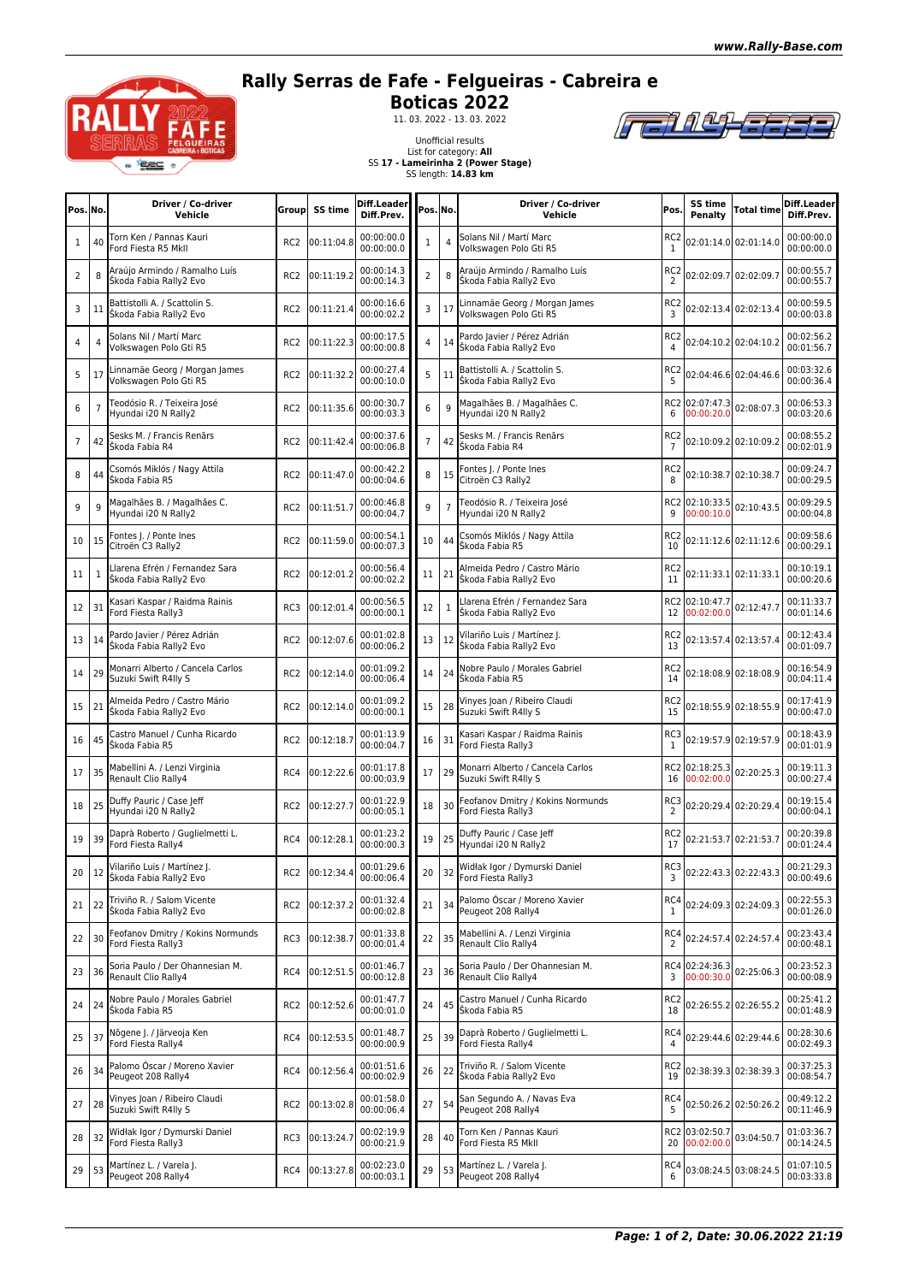## **Rally Serras de Fafe - Felgueiras - Cabreira e**



**Boticas 2022**<br>
11. 03. 2022 - 13. 03. 2022

Unofficial results



List for category: **All** SS **17 - Lameirinha 2 (Power Stage)** SS length: **14.83 km**

| Pos. No.       |                | Driver / Co-driver<br>Vehicle                            | Groupl          | SS time        | Diff.Leader<br>Diff.Prev. | Pos. No.       |              | Driver / Co-driver<br>Vehicle                            | Pos.                              | SS time<br>Penalty              | <b>Total time</b>         | Diff.Leader<br>Diff.Prev. |
|----------------|----------------|----------------------------------------------------------|-----------------|----------------|---------------------------|----------------|--------------|----------------------------------------------------------|-----------------------------------|---------------------------------|---------------------------|---------------------------|
| 1              | 40             | Torn Ken / Pannas Kauri<br>Ford Fiesta R5 MkII           | RC <sub>2</sub> | 00:11:04.8     | 00:00:00.0<br>00:00:00.0  | 1              |              | Solans Nil / Martí Marc<br>Volkswagen Polo Gti R5        | RC <sub>2</sub><br>1              |                                 | 02:01:14.0 02:01:14.0     | 00:00:00.0<br>00:00:00.0  |
| 2              | 8              | Araújo Armindo / Ramalho Luís<br>Škoda Fabia Rally2 Evo  | RC <sub>2</sub> | 00:11:19.2     | 00:00:14.3<br>00:00:14.3  | $\overline{2}$ | 8            | Araújo Armindo / Ramalho Luís<br>Škoda Fabia Rally2 Evo  | RC <sub>2</sub><br>2              |                                 | 02:02:09.7 02:02:09.7     | 00:00:55.7<br>00:00:55.7  |
| 3              | 11             | Battistolli A. / Scattolin S.<br>Škoda Fabia Rally2 Evo  | RC <sub>2</sub> | 00:11:21.4     | 00:00:16.6<br>00:00:02.2  | 3              | 17           | Linnamäe Georg / Morgan James<br>Volkswagen Polo Gti R5  | RC <sub>2</sub><br>3              |                                 | 02:02:13.4 02:02:13.4     | 00:00:59.5<br>00:00:03.8  |
| 4              | $\overline{4}$ | Solans Nil / Martí Marc<br>Volkswagen Polo Gti R5        | RC <sub>2</sub> | 00:11:22.3     | 00:00:17.5<br>00:00:00.8  | 4              | 14           | Pardo Javier / Pérez Adrián<br>Škoda Fabia Rally2 Evo    | RC <sub>2</sub><br>4              |                                 | 02:04:10.2 02:04:10.2     | 00:02:56.2<br>00:01:56.7  |
| 5              | 17             | innamäe Georg / Morgan James<br>Volkswagen Polo Gti R5   | RC <sub>2</sub> | 00:11:32.2     | 00:00:27.4<br>00:00:10.0  | 5              | 11           | Battistolli A. / Scattolin S.<br>Škoda Fabia Rally2 Evo  | RC <sub>2</sub><br>5              |                                 | 02:04:46.6 02:04:46.6     | 00:03:32.6<br>00:00:36.4  |
| 6              | $\overline{7}$ | Teodósio R. / Teixeira José<br>Hyundai i20 N Rally2      | RC <sub>2</sub> | 00:11:35.6     | 00:00:30.7<br>00:00:03.3  | 6              | 9            | Magalhães B. / Magalhães C.<br>Hyundai i20 N Rally2      | 6                                 | RC2 02:07:47.3<br>00:00:20.0    | 02:08:07.3                | 00:06:53.3<br>00:03:20.6  |
| $\overline{7}$ | 42             | Sesks M. / Francis Renārs<br>Škoda Fabia R4              | RC <sub>2</sub> | 00:11:42.4     | 00:00:37.6<br>00:00:06.8  |                | 42           | Sesks M. / Francis Renārs<br>Škoda Fabia R4              | RC <sub>2</sub><br>$\overline{7}$ |                                 | 02:10:09.2 02:10:09.2     | 00:08:55.2<br>00:02:01.9  |
| 8              | 44             | Csomós Miklós / Nagy Attila<br>Škoda Fabia R5            | RC <sub>2</sub> | 00:11:47.0     | 00:00:42.2<br>00:00:04.6  | 8              | 15           | Fontes J. / Ponte Ines<br>Citroën C3 Rally2              | RC <sub>2</sub><br>8              |                                 | 02:10:38.7 02:10:38.7     | 00:09:24.7<br>00:00:29.5  |
| 9              | 9              | Magalhães B. / Magalhães C.<br>Hyundai i20 N Rally2      | RC <sub>2</sub> | 00:11:51.7     | 00:00:46.8<br>00:00:04.7  | 9              |              | Teodósio R. / Teixeira José<br>Hyundai i20 N Rally2      | RC <sub>2</sub><br>9              | 02:10:33.5<br>00:00:10.0        | 02:10:43.5                | 00:09:29.5<br>00:00:04.8  |
| 10             | 15             | Fontes J. / Ponte Ines<br>Citroën C3 Rally2              | RC <sub>2</sub> | 00:11:59.0     | 00:00:54.1<br>00:00:07.3  | 10             | 44           | Csomós Miklós / Nagy Attila<br>Škoda Fabia R5            | RC <sub>2</sub><br>10             |                                 | 02:11:12.6 02:11:12.6     | 00:09:58.6<br>00:00:29.1  |
| 11             | 1              | Larena Efrén / Fernandez Sara<br>Škoda Fabia Rally2 Evo  | RC <sub>2</sub> | 00:12:01.2     | 00:00:56.4<br>00:00:02.2  | 11             | 21           | Almeida Pedro / Castro Mário<br>Škoda Fabia Rally2 Evo   | RC <sub>2</sub><br>11             |                                 | 02:11:33.1 02:11:33.1     | 00:10:19.1<br>00:00:20.6  |
| 12             | 31             | Kasari Kaspar / Raidma Rainis<br>Ford Fiesta Rally3      | RC3             | 00:12:01.4     | 00:00:56.5<br>00:00:00.1  | 12             | $\mathbf{1}$ | Llarena Efrén / Fernandez Sara<br>Škoda Fabia Rally2 Evo |                                   | RC2 02:10:47.7<br>12 00:02:00.0 | 02:12:47.7                | 00:11:33.7<br>00:01:14.6  |
| 13             | 14             | Pardo Javier / Pérez Adrián<br>Škoda Fabia Rally2 Evo    | RC <sub>2</sub> | 00:12:07.6     | 00:01:02.8<br>00:00:06.2  | 13             | 12           | Vilariño Luis / Martínez J.<br>Škoda Fabia Rally2 Evo    | RC <sub>2</sub><br>13             |                                 | 02:13:57.4 02:13:57.4     | 00:12:43.4<br>00:01:09.7  |
| 14             | 29             | Monarri Alberto / Cancela Carlos<br>Suzuki Swift R4lly S | RC <sub>2</sub> | 00:12:14.0     | 00:01:09.2<br>00:00:06.4  | 14             | 24           | Nobre Paulo / Morales Gabriel<br>Škoda Fabia R5          | RC <sub>2</sub><br>14             |                                 | 02:18:08.9 02:18:08.9     | 00:16:54.9<br>00:04:11.4  |
| 15             | 21             | Almeida Pedro / Castro Mário<br>Škoda Fabia Rally2 Evo   | RC <sub>2</sub> | 00:12:14.0     | 00:01:09.2<br>00:00:00.1  | 15             | 28           | Vinyes Joan / Ribeiro Claudi<br>Suzuki Swift R4lly S     | RC <sub>2</sub><br>15             |                                 | 02:18:55.9 02:18:55.9     | 00:17:41.9<br>00:00:47.0  |
| 16             | 45             | Castro Manuel / Cunha Ricardo<br>Škoda Fabia R5          | RC <sub>2</sub> | 00:12:18.7     | 00:01:13.9<br>00:00:04.7  | 16             | 31           | Kasari Kaspar / Raidma Rainis<br>Ford Fiesta Rally3      | RC3<br>1                          |                                 | 02:19:57.9 02:19:57.9     | 00:18:43.9<br>00:01:01.9  |
| 17             | 35             | Mabellini A. / Lenzi Virginia<br>Renault Clio Rally4     | RC4             | 00:12:22.6     | 00:01:17.8<br>00:00:03.9  | 17             | 29           | Monarri Alberto / Cancela Carlos<br>Suzuki Swift R4lly S | 16                                | RC2 02:18:25.3<br>00:02:00.0    | 02:20:25.3                | 00:19:11.3<br>00:00:27.4  |
| 18             | 25             | Duffy Pauric / Case Jeff<br>Hyundai i20 N Rally2         | RC <sub>2</sub> | 00:12:27.7     | 00:01:22.9<br>00:00:05.1  | 18             | 30           | Feofanov Dmitry / Kokins Normunds<br>Ford Fiesta Rally3  | RC3<br>2                          |                                 | 02:20:29.4 02:20:29.4     | 00:19:15.4<br>00:00:04.1  |
| 19             | 39             | Daprà Roberto / Guglielmetti L.<br>Ford Fiesta Rally4    | RC4             | 00:12:28.1     | 00:01:23.2<br>00:00:00.3  | 19             | 25           | Duffy Pauric / Case Jeff<br>Hyundai i20 N Rally2         | RC <sub>2</sub><br>17             |                                 | 02:21:53.7 02:21:53.7     | 00:20:39.8<br>00:01:24.4  |
| 20             |                | 12 Vilariño Luis / Martínez J.<br>Skoda Fabia Rally2 Evo |                 | RC2 00:12:34.4 | 00:01:29.6<br>00:00:06.4  | 20             | 32           | Widłak Igor / Dymurski Daniel<br>Ford Fiesta Rally3      | 3                                 |                                 | RC3 02:22:43.3 02:22:43.3 | 00:21:29.3<br>00:00:49.6  |
| 21             | 22             | Triviño R. / Salom Vicente<br>Škoda Fabia Rally2 Evo     | RC <sub>2</sub> | 00:12:37.2     | 00:01:32.4<br>00:00:02.8  | 21             | 34           | Palomo Óscar / Moreno Xavier<br>Peugeot 208 Rally4       | RC4<br>1                          | 02:24:09.3 02:24:09.3           |                           | 00:22:55.3<br>00:01:26.0  |
| 22             | 30             | Feofanov Dmitry / Kokins Normunds<br>Ford Fiesta Rally3  | RC3             | 00:12:38.7     | 00:01:33.8<br>00:00:01.4  | 22             | 35           | Mabellini A. / Lenzi Virginia<br>Renault Clio Rally4     | RC4<br>$\overline{2}$             | 02:24:57.4 02:24:57.4           |                           | 00:23:43.4<br>00:00:48.1  |
| 23             | 36             | Soria Paulo / Der Ohannesian M.<br>Renault Clio Rally4   | RC4             | 00:12:51.5     | 00:01:46.7<br>00:00:12.8  | 23             | 36           | Soria Paulo / Der Ohannesian M.<br>Renault Clio Rally4   | 3                                 | RC4 02:24:36.3<br>00:00:30.0    | 02:25:06.3                | 00:23:52.3<br>00:00:08.9  |
| 24             | 24             | Nobre Paulo / Morales Gabriel<br>Škoda Fabia R5          | RC <sub>2</sub> | 00:12:52.6     | 00:01:47.7<br>00:00:01.0  | 24             | 45           | Castro Manuel / Cunha Ricardo<br>Škoda Fabia R5          | RC <sub>2</sub><br>18             |                                 | 02:26:55.2 02:26:55.2     | 00:25:41.2<br>00:01:48.9  |
| 25             | 37             | Nõgene J. / Järveoja Ken<br>Ford Fiesta Rally4           | RC4             | 00:12:53.5     | 00:01:48.7<br>00:00:00.9  | 25             | 39           | Daprà Roberto / Guglielmetti L.<br>Ford Fiesta Rally4    | RC4<br>4                          |                                 | 02:29:44.6 02:29:44.6     | 00:28:30.6<br>00:02:49.3  |
| 26             | 34             | Palomo Óscar / Moreno Xavier<br>Peugeot 208 Rally4       | RC4             | 00:12:56.4     | 00:01:51.6<br>00:00:02.9  | 26             | 22           | Triviño R. / Salom Vicente<br>Škoda Fabia Rally2 Evo     | RC <sub>2</sub><br>19             |                                 | 02:38:39.3 02:38:39.3     | 00:37:25.3<br>00:08:54.7  |
| 27             | 28             | Vinyes Joan / Ribeiro Claudi<br>Suzuki Swift R4lly S     | RC <sub>2</sub> | 00:13:02.8     | 00:01:58.0<br>00:00:06.4  | 27             | 54           | San Segundo A. / Navas Eva<br>Peugeot 208 Rally4         | RC4<br>5                          | 02:50:26.2 02:50:26.2           |                           | 00:49:12.2<br>00:11:46.9  |
| 28             | 32             | Widłak Igor / Dymurski Daniel<br>Ford Fiesta Rally3      | RC3             | 00:13:24.7     | 00:02:19.9<br>00:00:21.9  | 28             | 40           | Torn Ken / Pannas Kauri<br>Ford Fiesta R5 MkII           | 20                                | RC2 03:02:50.7<br>00:02:00.0    | 03:04:50.7                | 01:03:36.7<br>00:14:24.5  |
| 29             | 53             | Martínez L. / Varela J.<br>Peugeot 208 Rally4            | RC4             | 00:13:27.8     | 00:02:23.0<br>00:00:03.1  | 29             | 53           | Martínez L. / Varela J.<br>Peugeot 208 Rally4            | RC4                               |                                 | 03:08:24.5 03:08:24.5     | 01:07:10.5<br>00:03:33.8  |